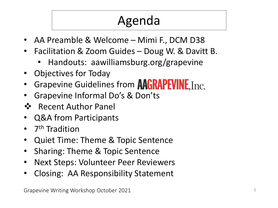# Agenda

- AA Preamble & Welcome Mimi F., DCM D38
- Facilitation & Zoom Guides Doug W. & Davitt B.
	- Handouts: aawilliamsburg.org/grapevine
- Objectives for Today
- Grapevine Guidelines from **AAGRAPEVINE**, Inc.
- Grapevine Informal Do's & Don'ts
- Recent Author Panel
- Q&A from Participants
- 7<sup>th</sup> Tradition
- Quiet Time: Theme & Topic Sentence
- Sharing: Theme & Topic Sentence
- Next Steps: Volunteer Peer Reviewers
- Closing: AA Responsibility Statement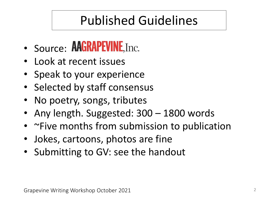## Published Guidelines

- Source: **AAGRAPEVINE**, Inc.
- Look at recent issues
- Speak to your experience
- Selected by staff consensus
- No poetry, songs, tributes
- Any length. Suggested: 300 1800 words
- ~Five months from submission to publication
- Jokes, cartoons, photos are fine
- Submitting to GV: see the handout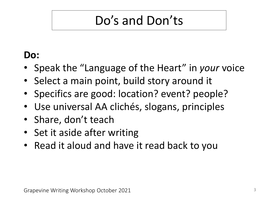## Do's and Don'ts

#### **Do:**

- Speak the "Language of the Heart" in *your* voice
- Select a main point, build story around it
- Specifics are good: location? event? people?
- Use universal AA clichés, slogans, principles
- Share, don't teach
- Set it aside after writing
- Read it aloud and have it read back to you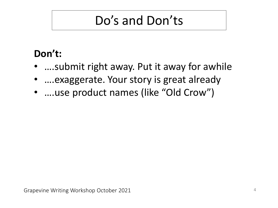### Do's and Don'ts

#### **Don't:**

- ….submit right away. Put it away for awhile
- ….exaggerate. Your story is great already
- ....use product names (like "Old Crow")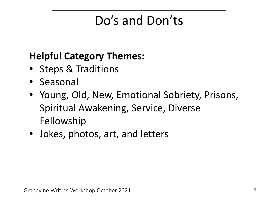### Do's and Don'ts

#### **Helpful Category Themes:**

- Steps & Traditions
- Seasonal
- Young, Old, New, Emotional Sobriety, Prisons, Spiritual Awakening, Service, Diverse Fellowship
- Jokes, photos, art, and letters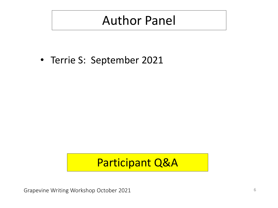### Author Panel

• Terrie S: September 2021

#### Participant Q&A

Grapevine Writing Workshop October 2021 **6** 6 and the United States of Grapevine Writing Workshop October 2021